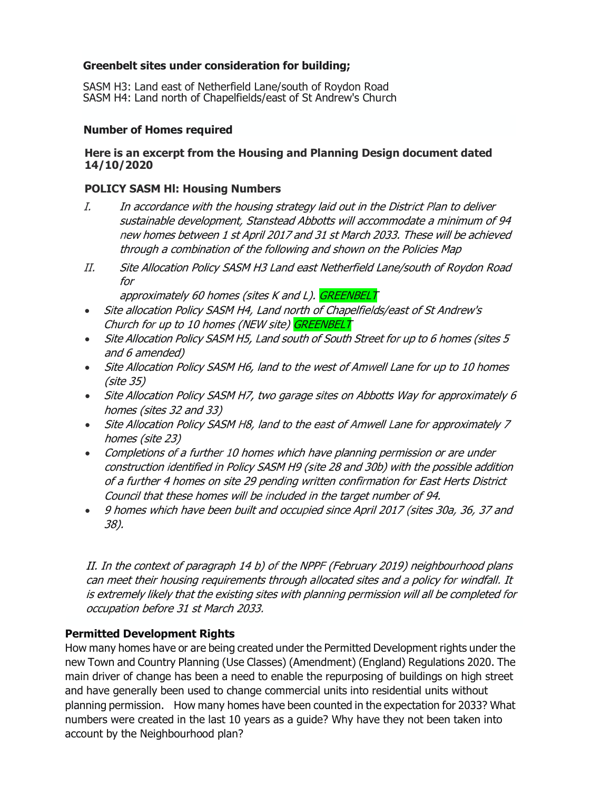# **Greenbelt sites under consideration for building;**

SASM H3: Land east of Netherfield Lane/south of Roydon Road SASM H4: Land north of Chapelfields/east of St Andrew's Church

### **Number of Homes required**

### **Here is an excerpt from the Housing and Planning Design document dated 14/10/2020**

## **POLICY SASM Hl: Housing Numbers**

- I. In accordance with the housing strategy laid out in the District Plan to deliver sustainable development, Stanstead Abbotts will accommodate a minimum of 94 new homes between 1 st April 2017 and 31 st March 2033. These will be achieved through a combination of the following and shown on the Policies Map
- II. Site Allocation Policy SASM H3 Land east Netherfield Lane/south of Roydon Road for

approximately 60 homes (sites K and L). GREENBELT

- Site allocation Policy SASM H4, Land north of Chapelfields/east of St Andrew's Church for up to 10 homes (NEW site) GREENBELT
- Site Allocation Policy SASM H5, Land south of South Street for up to 6 homes (sites 5 and 6 amended)
- Site Allocation Policy SASM H6, land to the west of Amwell Lane for up to 10 homes (site 35)
- Site Allocation Policy SASM H7, two garage sites on Abbotts Way for approximately 6 homes (sites 32 and 33)
- Site Allocation Policy SASM H8, land to the east of Amwell Lane for approximately 7 homes (site 23)
- Completions of a further 10 homes which have planning permission or are under construction identified in Policy SASM H9 (site 28 and 30b) with the possible addition of a further 4 homes on site 29 pending written confirmation for East Herts District Council that these homes will be included in the target number of 94.
- 9 homes which have been built and occupied since April 2017 (sites 30a, 36, 37 and 38).

II. In the context of paragraph 14 b) of the NPPF (February 2019) neighbourhood plans can meet their housing requirements through allocated sites and a policy for windfall. It is extremely likely that the existing sites with planning permission will all be completed for occupation before 31 st March 2033.

# **Permitted Development Rights**

How many homes have or are being created under the Permitted Development rights under the new Town and Country Planning (Use Classes) (Amendment) (England) Regulations 2020. The main driver of change has been a need to enable the repurposing of buildings on high street and have generally been used to change commercial units into residential units without planning permission. How many homes have been counted in the expectation for 2033? What numbers were created in the last 10 years as a guide? Why have they not been taken into account by the Neighbourhood plan?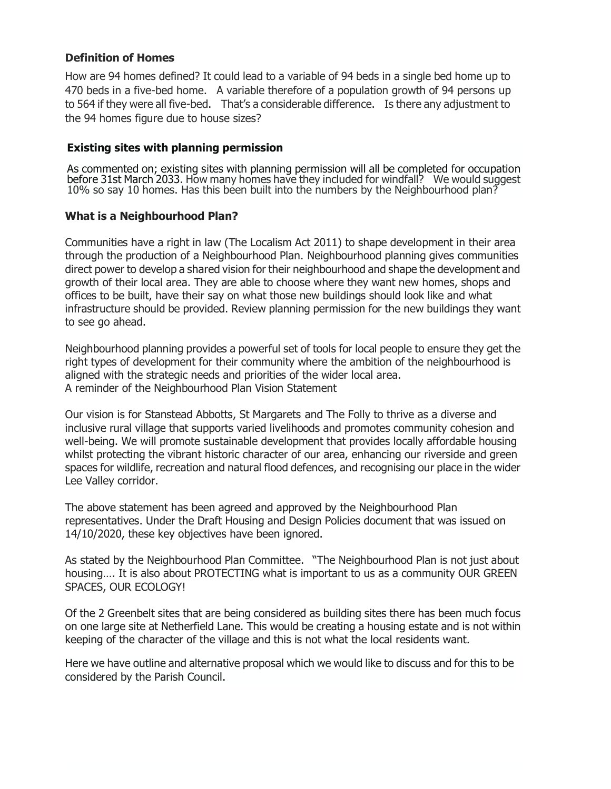## **Definition of Homes**

How are 94 homes defined? It could lead to a variable of 94 beds in a single bed home up to 470 beds in a five-bed home. A variable therefore of a population growth of 94 persons up to 564 if they were all five-bed. That's a considerable difference. Is there any adjustment to the 94 homes figure due to house sizes?

### **Existing sites with planning permission**

As commented on; existing sites with planning permission will all be completed for occupation before 31st March 2033. How many homes have they included for windfall? We would suggest 10% so say 10 homes. Has this been built into the numbers by the Neighbourhood plan?

### **What is a Neighbourhood Plan?**

Communities have a right in law (The Localism Act 2011) to shape development in their area through the production of a Neighbourhood Plan. Neighbourhood planning gives communities direct power to develop a shared vision for their neighbourhood and shape the development and growth of their local area. They are able to choose where they want new homes, shops and offices to be built, have their say on what those new buildings should look like and what infrastructure should be provided. Review planning permission for the new buildings they want to see go ahead.

Neighbourhood planning provides a powerful set of tools for local people to ensure they get the right types of development for their community where the ambition of the neighbourhood is aligned with the strategic needs and priorities of the wider local area. A reminder of the Neighbourhood Plan Vision Statement

Our vision is for Stanstead Abbotts, St Margarets and The Folly to thrive as a diverse and inclusive rural village that supports varied livelihoods and promotes community cohesion and well-being. We will promote sustainable development that provides locally affordable housing whilst protecting the vibrant historic character of our area, enhancing our riverside and green spaces for wildlife, recreation and natural flood defences, and recognising our place in the wider Lee Valley corridor.

The above statement has been agreed and approved by the Neighbourhood Plan representatives. Under the Draft Housing and Design Policies document that was issued on 14/10/2020, these key objectives have been ignored.

As stated by the Neighbourhood Plan Committee. "The Neighbourhood Plan is not just about housing…. It is also about PROTECTING what is important to us as a community OUR GREEN SPACES, OUR ECOLOGY!

Of the 2 Greenbelt sites that are being considered as building sites there has been much focus on one large site at Netherfield Lane. This would be creating a housing estate and is not within keeping of the character of the village and this is not what the local residents want.

Here we have outline and alternative proposal which we would like to discuss and for this to be considered by the Parish Council.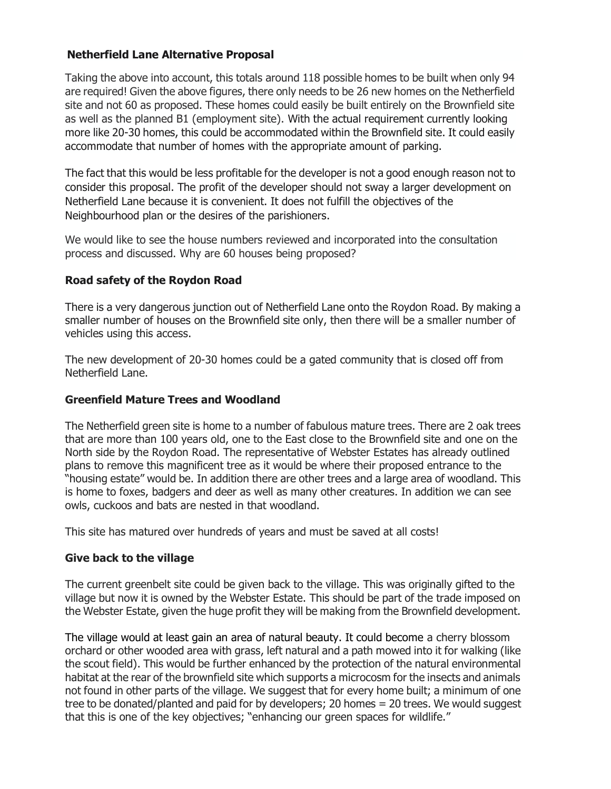# **Netherfield Lane Alternative Proposal**

Taking the above into account, this totals around 118 possible homes to be built when only 94 are required! Given the above figures, there only needs to be 26 new homes on the Netherfield site and not 60 as proposed. These homes could easily be built entirely on the Brownfield site as well as the planned B1 (employment site). With the actual requirement currently looking more like 20-30 homes, this could be accommodated within the Brownfield site. It could easily accommodate that number of homes with the appropriate amount of parking.

The fact that this would be less profitable for the developer is not a good enough reason not to consider this proposal. The profit of the developer should not sway a larger development on Netherfield Lane because it is convenient. It does not fulfill the objectives of the Neighbourhood plan or the desires of the parishioners.

We would like to see the house numbers reviewed and incorporated into the consultation process and discussed. Why are 60 houses being proposed?

# **Road safety of the Roydon Road**

There is a very dangerous junction out of Netherfield Lane onto the Roydon Road. By making a smaller number of houses on the Brownfield site only, then there will be a smaller number of vehicles using this access.

The new development of 20-30 homes could be a gated community that is closed off from Netherfield Lane.

# **Greenfield Mature Trees and Woodland**

The Netherfield green site is home to a number of fabulous mature trees. There are 2 oak trees that are more than 100 years old, one to the East close to the Brownfield site and one on the North side by the Roydon Road. The representative of Webster Estates has already outlined plans to remove this magnificent tree as it would be where their proposed entrance to the "housing estate" would be. In addition there are other trees and a large area of woodland. This is home to foxes, badgers and deer as well as many other creatures. In addition we can see owls, cuckoos and bats are nested in that woodland.

This site has matured over hundreds of years and must be saved at all costs!

# **Give back to the village**

The current greenbelt site could be given back to the village. This was originally gifted to the village but now it is owned by the Webster Estate. This should be part of the trade imposed on the Webster Estate, given the huge profit they will be making from the Brownfield development.

The village would at least gain an area of natural beauty. It could become a cherry blossom orchard or other wooded area with grass, left natural and a path mowed into it for walking (like the scout field). This would be further enhanced by the protection of the natural environmental habitat at the rear of the brownfield site which supports a microcosm for the insects and animals not found in other parts of the village. We suggest that for every home built; a minimum of one tree to be donated/planted and paid for by developers; 20 homes = 20 trees. We would suggest that this is one of the key objectives; "enhancing our green spaces for wildlife."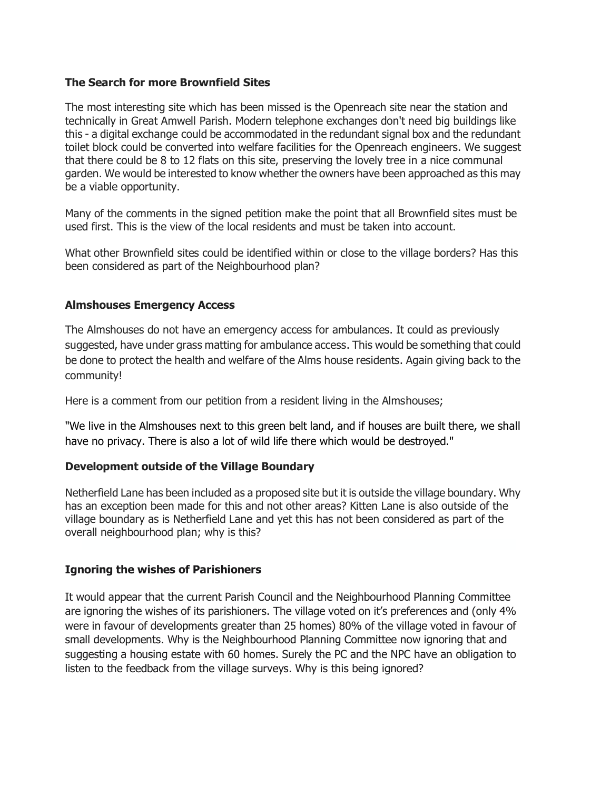## **The Search for more Brownfield Sites**

The most interesting site which has been missed is the Openreach site near the station and technically in Great Amwell Parish. Modern telephone exchanges don't need big buildings like this - a digital exchange could be accommodated in the redundant signal box and the redundant toilet block could be converted into welfare facilities for the Openreach engineers. We suggest that there could be 8 to 12 flats on this site, preserving the lovely tree in a nice communal garden. We would be interested to know whether the owners have been approached as this may be a viable opportunity.

Many of the comments in the signed petition make the point that all Brownfield sites must be used first. This is the view of the local residents and must be taken into account.

What other Brownfield sites could be identified within or close to the village borders? Has this been considered as part of the Neighbourhood plan?

### **Almshouses Emergency Access**

The Almshouses do not have an emergency access for ambulances. It could as previously suggested, have under grass matting for ambulance access. This would be something that could be done to protect the health and welfare of the Alms house residents. Again giving back to the community!

Here is a comment from our petition from a resident living in the Almshouses;

"We live in the Almshouses next to this green belt land, and if houses are built there, we shall have no privacy. There is also a lot of wild life there which would be destroyed."

### **Development outside of the Village Boundary**

Netherfield Lane has been included as a proposed site but it is outside the village boundary. Why has an exception been made for this and not other areas? Kitten Lane is also outside of the village boundary as is Netherfield Lane and yet this has not been considered as part of the overall neighbourhood plan; why is this?

# **Ignoring the wishes of Parishioners**

It would appear that the current Parish Council and the Neighbourhood Planning Committee are ignoring the wishes of its parishioners. The village voted on it's preferences and (only 4% were in favour of developments greater than 25 homes) 80% of the village voted in favour of small developments. Why is the Neighbourhood Planning Committee now ignoring that and suggesting a housing estate with 60 homes. Surely the PC and the NPC have an obligation to listen to the feedback from the village surveys. Why is this being ignored?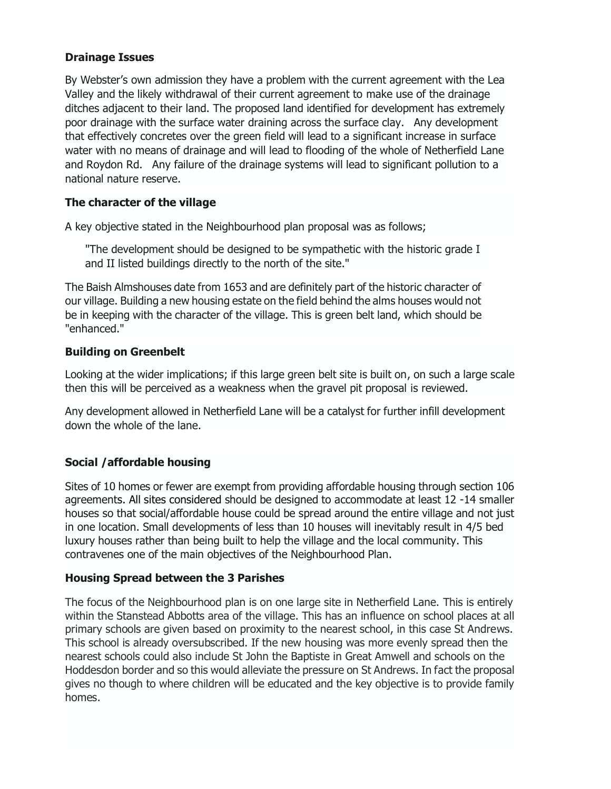## **Drainage Issues**

By Webster's own admission they have a problem with the current agreement with the Lea Valley and the likely withdrawal of their current agreement to make use of the drainage ditches adjacent to their land. The proposed land identified for development has extremely poor drainage with the surface water draining across the surface clay. Any development that effectively concretes over the green field will lead to a significant increase in surface water with no means of drainage and will lead to flooding of the whole of Netherfield Lane and Roydon Rd. Any failure of the drainage systems will lead to significant pollution to a national nature reserve.

# **The character of the village**

A key objective stated in the Neighbourhood plan proposal was as follows;

"The development should be designed to be sympathetic with the historic grade I and II listed buildings directly to the north of the site."

The Baish Almshouses date from 1653 and are definitely part of the historic character of our village. Building a new housing estate on the field behind the alms houses would not be in keeping with the character of the village. This is green belt land, which should be "enhanced."

### **Building on Greenbelt**

Looking at the wider implications; if this large green belt site is built on, on such a large scale then this will be perceived as a weakness when the gravel pit proposal is reviewed.

Any development allowed in Netherfield Lane will be a catalyst for further infill development down the whole of the lane.

# **Social /affordable housing**

Sites of 10 homes or fewer are exempt from providing affordable housing through section 106 agreements. All sites considered should be designed to accommodate at least 12 -14 smaller houses so that social/affordable house could be spread around the entire village and not just in one location. Small developments of less than 10 houses will inevitably result in 4/5 bed luxury houses rather than being built to help the village and the local community. This contravenes one of the main objectives of the Neighbourhood Plan.

### **Housing Spread between the 3 Parishes**

The focus of the Neighbourhood plan is on one large site in Netherfield Lane. This is entirely within the Stanstead Abbotts area of the village. This has an influence on school places at all primary schools are given based on proximity to the nearest school, in this case St Andrews. This school is already oversubscribed. If the new housing was more evenly spread then the nearest schools could also include St John the Baptiste in Great Amwell and schools on the Hoddesdon border and so this would alleviate the pressure on St Andrews. In fact the proposal gives no though to where children will be educated and the key objective is to provide family homes.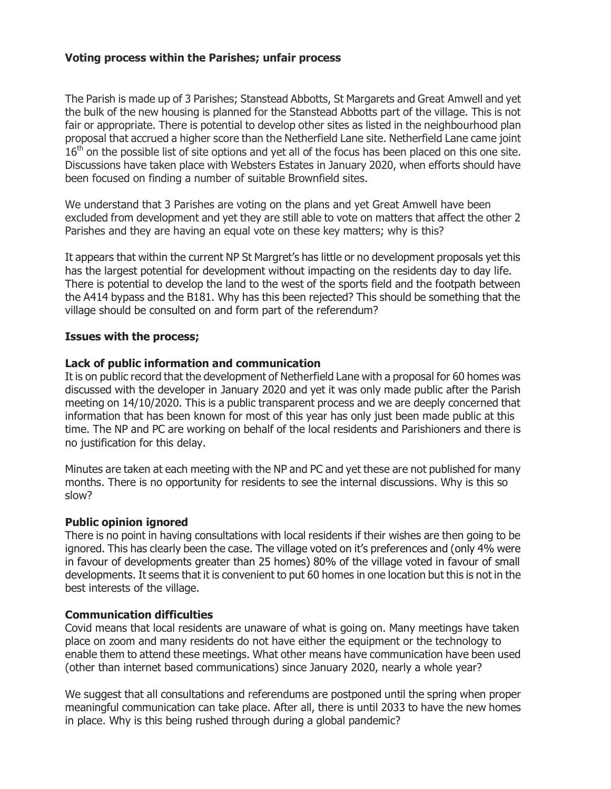## **Voting process within the Parishes; unfair process**

The Parish is made up of 3 Parishes; Stanstead Abbotts, St Margarets and Great Amwell and yet the bulk of the new housing is planned for the Stanstead Abbotts part of the village. This is not fair or appropriate. There is potential to develop other sites as listed in the neighbourhood plan proposal that accrued a higher score than the Netherfield Lane site. Netherfield Lane came joint  $16<sup>th</sup>$  on the possible list of site options and yet all of the focus has been placed on this one site. Discussions have taken place with Websters Estates in January 2020, when efforts should have been focused on finding a number of suitable Brownfield sites.

We understand that 3 Parishes are voting on the plans and yet Great Amwell have been excluded from development and yet they are still able to vote on matters that affect the other 2 Parishes and they are having an equal vote on these key matters; why is this?

It appears that within the current NP St Margret's has little or no development proposals yet this has the largest potential for development without impacting on the residents day to day life. There is potential to develop the land to the west of the sports field and the footpath between the A414 bypass and the B181. Why has this been rejected? This should be something that the village should be consulted on and form part of the referendum?

### **Issues with the process;**

#### **Lack of public information and communication**

It is on public record that the development of Netherfield Lane with a proposal for 60 homes was discussed with the developer in January 2020 and yet it was only made public after the Parish meeting on 14/10/2020. This is a public transparent process and we are deeply concerned that information that has been known for most of this year has only just been made public at this time. The NP and PC are working on behalf of the local residents and Parishioners and there is no justification for this delay.

Minutes are taken at each meeting with the NP and PC and yet these are not published for many months. There is no opportunity for residents to see the internal discussions. Why is this so slow?

### **Public opinion ignored**

There is no point in having consultations with local residents if their wishes are then going to be ignored. This has clearly been the case. The village voted on it's preferences and (only 4% were in favour of developments greater than 25 homes) 80% of the village voted in favour of small developments. It seems that it is convenient to put 60 homes in one location but this is not in the best interests of the village.

### **Communication difficulties**

Covid means that local residents are unaware of what is going on. Many meetings have taken place on zoom and many residents do not have either the equipment or the technology to enable them to attend these meetings. What other means have communication have been used (other than internet based communications) since January 2020, nearly a whole year?

We suggest that all consultations and referendums are postponed until the spring when proper meaningful communication can take place. After all, there is until 2033 to have the new homes in place. Why is this being rushed through during a global pandemic?